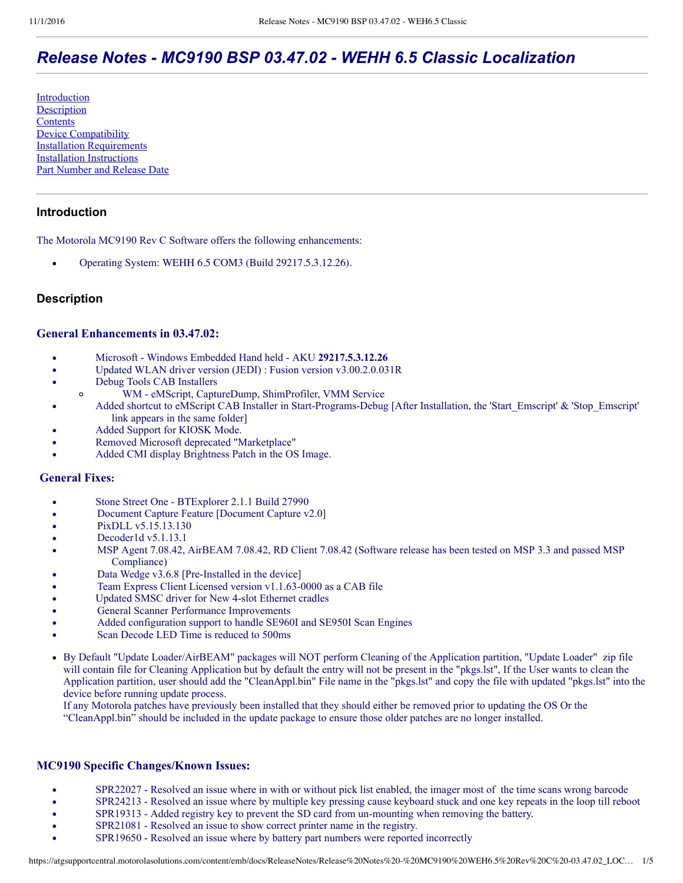# *Release Notes MC9190 BSP 03.47.02 WEHH 6.5 Classic Localization*

[Introduction](#page-0-0) **[Description](#page-0-1) [Contents](#page-2-0)** [Device Compatibility](#page-3-0) [Installation Requirements](#page-3-1) [Installation Instructions](#page-3-2) [Part Number and Release Date](#page-3-3)

# <span id="page-0-0"></span>**Introduction**

The Motorola MC9190 Rev C Software offers the following enhancements:

Operating System: WEHH 6.5 COM3 (Build 29217.5.3.12.26).

# <span id="page-0-1"></span>**Description**

### **General Enhancements in 03.47.02:**

- Microsoft Windows Embedded Hand held AKU 29217.5.3.12.26  $\bullet$
- Updated WLAN driver version (JEDI) : Fusion version v3.00.2.0.031R  $\bullet$
- Debug Tools CAB Installers  $\bullet$ 
	- WM eMScript, CaptureDump, ShimProfiler, VMM Service  $\circ$
- Added shortcut to eMScript CAB Installer in Start-Programs-Debug [After Installation, the 'Start\_Emscript'  $\&$  'Stop\_Emscript' link appears in the same folder]
- Added Support for KIOSK Mode.
- Removed Microsoft deprecated "Marketplace"
- Added CMI display Brightness Patch in the OS Image.

## **General Fixes:**

- Stone Street One BTExplorer 2.1.1 Build 27990  $\bullet$
- Document Capture Feature [Document Capture v2.0]  $\bullet$
- PixDLL v5.15.13.130
- Decoder1d v5.1.13.1
- MSP Agent 7.08.42, AirBEAM 7.08.42, RD Client 7.08.42 (Software release has been tested on MSP 3.3 and passed MSP Compliance)
- Data Wedge v3.6.8 [Pre-Installed in the device]
- Team Express Client Licensed version v1.1.63-0000 as a CAB file
- Updated SMSC driver for New 4slot Ethernet cradles
- General Scanner Performance Improvements
- Added configuration support to handle SE960I and SE950I Scan Engines
- Scan Decode LED Time is reduced to 500ms
- By Default "Update Loader/AirBEAM" packages will NOT perform Cleaning of the Application partition, "Update Loader" zip file will contain file for Cleaning Application but by default the entry will not be present in the "pkgs.lst", If the User wants to clean the Application partition, user should add the "CleanAppl.bin" File name in the "pkgs.lst" and copy the file with updated "pkgs.lst" into the device before running update process.

If any Motorola patches have previously been installed that they should either be removed prior to updating the OS Or the "CleanAppl.bin" should be included in the update package to ensure those older patches are no longer installed.

### **MC9190 Specific Changes/Known Issues:**

- SPR22027 Resolved an issue where in with or without pick list enabled, the imager most of the time scans wrong barcode
- SPR24213 Resolved an issue where by multiple key pressing cause keyboard stuck and one key repeats in the loop till reboot  $\bullet$
- SPR19313 Added registry key to prevent the SD card from un-mounting when removing the battery.  $\bullet$
- $\bullet$ SPR21081 - Resolved an issue to show correct printer name in the registry.
- SPR19650 Resolved an issue where by battery part numbers were reported incorrectly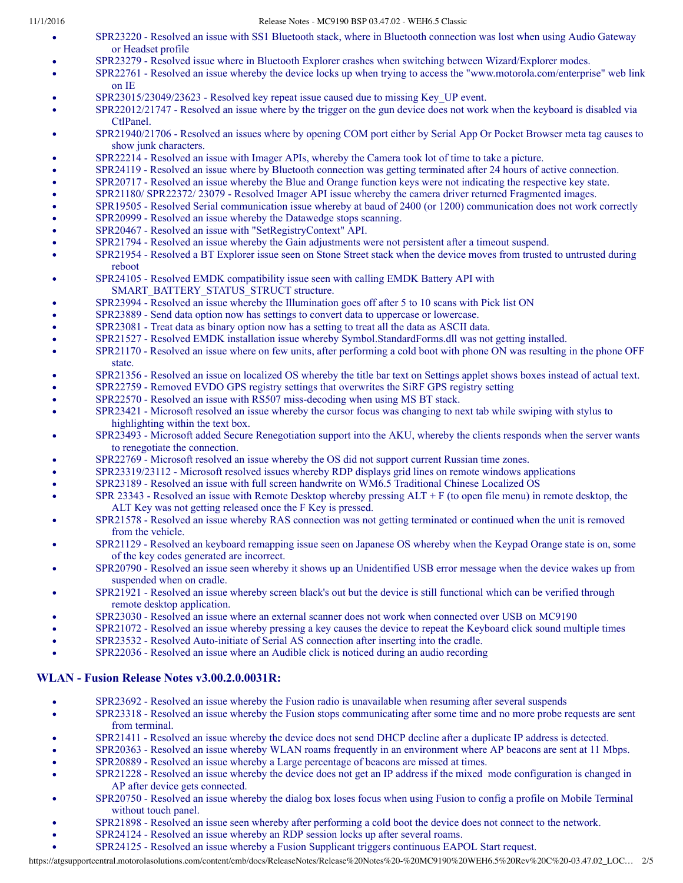#### 11/1/2016 Release Notes - MC9190 BSP 03.47.02 - WEH6.5 Classic

- SPR23220 Resolved an issue with SS1 Bluetooth stack, where in Bluetooth connection was lost when using Audio Gateway or Headset profile
- SPR23279 Resolved issue where in Bluetooth Explorer crashes when switching between Wizard/Explorer modes.
- SPR22761 Resolved an issue whereby the device locks up when trying to access the "www.motorola.com/enterprise" web link on IE
- SPR23015/23049/23623 Resolved key repeat issue caused due to missing Key\_UP event.
- SPR22012/21747 Resolved an issue where by the trigger on the gun device does not work when the keyboard is disabled via CtlPanel.
- SPR21940/21706 Resolved an issues where by opening COM port either by Serial App Or Pocket Browser meta tag causes to show junk characters.
- SPR22214 Resolved an issue with Imager APIs, whereby the Camera took lot of time to take a picture.
- SPR24119 Resolved an issue where by Bluetooth connection was getting terminated after 24 hours of active connection.
- SPR20717 Resolved an issue whereby the Blue and Orange function keys were not indicating the respective key state.
- SPR21180/ SPR22372/ 23079 Resolved Imager API issue whereby the camera driver returned Fragmented images.
- SPR19505 Resolved Serial communication issue whereby at baud of 2400 (or 1200) communication does not work correctly
- SPR20999 Resolved an issue whereby the Datawedge stops scanning.
- SPR20467 Resolved an issue with "SetRegistryContext" API.
- SPR21794 Resolved an issue whereby the Gain adjustments were not persistent after a timeout suspend.
- SPR21954 Resolved a BT Explorer issue seen on Stone Street stack when the device moves from trusted to untrusted during reboot
- SPR24105 Resolved EMDK compatibility issue seen with calling EMDK Battery API with SMART\_BATTERY\_STATUS\_STRUCT structure.
- SPR23994 Resolved an issue whereby the Illumination goes off after 5 to 10 scans with Pick list ON
- SPR23889 Send data option now has settings to convert data to uppercase or lowercase.
- SPR23081 Treat data as binary option now has a setting to treat all the data as ASCII data.
- SPR21527 Resolved EMDK installation issue whereby Symbol.StandardForms.dll was not getting installed.
- SPR21170 Resolved an issue where on few units, after performing a cold boot with phone ON was resulting in the phone OFF state.
- SPR21356 Resolved an issue on localized OS whereby the title bar text on Settings applet shows boxes instead of actual text.
- SPR22759 Removed EVDO GPS registry settings that overwrites the SiRF GPS registry setting
- SPR22570 Resolved an issue with RS507 miss-decoding when using MS BT stack.
- SPR23421 Microsoft resolved an issue whereby the cursor focus was changing to next tab while swiping with stylus to highlighting within the text box.
- SPR23493 Microsoft added Secure Renegotiation support into the AKU, whereby the clients responds when the server wants to renegotiate the connection.
- SPR22769 Microsoft resolved an issue whereby the OS did not support current Russian time zones.
- SPR23319/23112 Microsoft resolved issues whereby RDP displays grid lines on remote windows applications
- SPR23189 Resolved an issue with full screen handwrite on WM6.5 Traditional Chinese Localized OS
- SPR 23343 Resolved an issue with Remote Desktop whereby pressing  $ALT + F$  (to open file menu) in remote desktop, the ALT Key was not getting released once the F Key is pressed.
- SPR21578 Resolved an issue whereby RAS connection was not getting terminated or continued when the unit is removed from the vehicle.
- SPR21129 Resolved an keyboard remapping issue seen on Japanese OS whereby when the Keypad Orange state is on, some of the key codes generated are incorrect.
- SPR20790 Resolved an issue seen whereby it shows up an Unidentified USB error message when the device wakes up from suspended when on cradle.
- SPR21921 Resolved an issue whereby screen black's out but the device is still functional which can be verified through remote desktop application.
- SPR23030 Resolved an issue where an external scanner does not work when connected over USB on MC9190
- SPR21072 Resolved an issue whereby pressing a key causes the device to repeat the Keyboard click sound multiple times
- SPR23532 Resolved Auto-initiate of Serial AS connection after inserting into the cradle.
- SPR22036 Resolved an issue where an Audible click is noticed during an audio recording

#### **WLAN Fusion Release Notes v3.00.2.0.0031R:**

- SPR23692 Resolved an issue whereby the Fusion radio is unavailable when resuming after several suspends
- SPR23318 Resolved an issue whereby the Fusion stops communicating after some time and no more probe requests are sent  $\bullet$ from terminal.
- SPR21411 Resolved an issue whereby the device does not send DHCP decline after a duplicate IP address is detected.
- SPR20363 Resolved an issue whereby WLAN roams frequently in an environment where AP beacons are sent at 11 Mbps.
- SPR20889 Resolved an issue whereby a Large percentage of beacons are missed at times.
- SPR21228 Resolved an issue whereby the device does not get an IP address if the mixed mode configuration is changed in AP after device gets connected.
- SPR20750 Resolved an issue whereby the dialog box loses focus when using Fusion to config a profile on Mobile Terminal without touch panel.
- SPR21898 Resolved an issue seen whereby after performing a cold boot the device does not connect to the network.
- SPR24124 Resolved an issue whereby an RDP session locks up after several roams.
- SPR24125 Resolved an issue whereby a Fusion Supplicant triggers continuous EAPOL Start request.

https://atgsupportcentral.motorolasolutions.com/content/emb/docs/ReleaseNotes/Release%20Notes%20-%20MC9190%20WEH6.5%20Rev%20C%20-03.47.02\_LOC… 2/5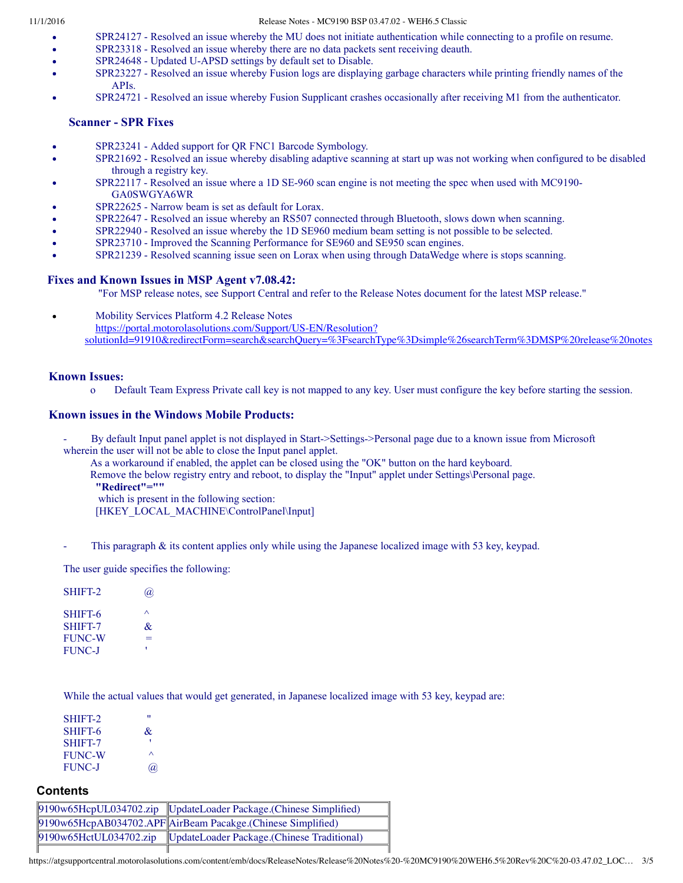- SPR24127 Resolved an issue whereby the MU does not initiate authentication while connecting to a profile on resume.
- SPR23318 Resolved an issue whereby there are no data packets sent receiving deauth.
- SPR24648 Updated U-APSD settings by default set to Disable.
- SPR23227 Resolved an issue whereby Fusion logs are displaying garbage characters while printing friendly names of the APIs.
- SPR24721 Resolved an issue whereby Fusion Supplicant crashes occasionally after receiving M1 from the authenticator.

#### **Scanner - SPR Fixes**

- SPR23241 Added support for QR FNC1 Barcode Symbology.
- SPR21692 Resolved an issue whereby disabling adaptive scanning at start up was not working when configured to be disabled through a registry key.
- SPR22117 Resolved an issue where a 1D SE-960 scan engine is not meeting the spec when used with MC9190-GA0SWGYA6WR
- SPR22625 Narrow beam is set as default for Lorax.
- SPR22647 Resolved an issue whereby an RS507 connected through Bluetooth, slows down when scanning.
- SPR22940 Resolved an issue whereby the 1D SE960 medium beam setting is not possible to be selected.
- SPR23710 Improved the Scanning Performance for SE960 and SE950 scan engines.
- SPR21239 Resolved scanning issue seen on Lorax when using through DataWedge where is stops scanning.

#### **Fixes and Known Issues in MSP Agent v7.08.42:**

"For MSP release notes, see Support Central and refer to the Release Notes document for the latest MSP release."

Mobility Services Platform 4.2 Release Notes

https://portal.motorolasolutions.com/Support/US-EN/Resolution?

[solutionId=91910&redirectForm=search&searchQuery=%3FsearchType%3Dsimple%26searchTerm%3DMSP%20release%20notes](https://support.symbol.com/support/search.do?cmd=displayKC&docType=kc&externalId=12920&sliceId=&dialogID=209356172&stateId=1%200%20209352171)

#### **Known Issues:**

o Default Team Express Private call key is not mapped to any key. User must configure the key before starting the session.

#### **Known issues in the Windows Mobile Products:**

- By default Input panel applet is not displayed in Start>Settings>Personal page due to a known issue from Microsoft wherein the user will not be able to close the Input panel applet.
	- As a workaround if enabled, the applet can be closed using the "OK" button on the hard keyboard.

Remove the below registry entry and reboot, to display the "Input" applet under Settings\Personal page.

 **"Redirect"=""**

- which is present in the following section:
- [HKEY\_LOCAL\_MACHINE\ControlPanel\Input]
- This paragraph  $\&$  its content applies only while using the Japanese localized image with 53 key, keypad.

The user guide specifies the following:

SHIFT2 @ SHIFT-6  $\wedge$ SHIFT-7  $\&$ FUNC-W FUNC-J

While the actual values that would get generated, in Japanese localized image with 53 key, keypad are:

| SHIFT-2       | "        |
|---------------|----------|
| SHIFT-6       | &        |
| SHIFT-7       |          |
| <b>FUNC-W</b> | ∧        |
| <b>FUNC-J</b> | $\omega$ |

#### <span id="page-2-0"></span>**Contents**

|  | 9190w65HcpUL034702.zip UpdateLoader Package.(Chinese Simplified)   |
|--|--------------------------------------------------------------------|
|  | 9190w65HcpAB034702.APF AirBeam Pacakge.(Chinese Simplified)        |
|  | 9190w65HctUL034702.zip  UpdateLoader Package.(Chinese Traditional) |
|  |                                                                    |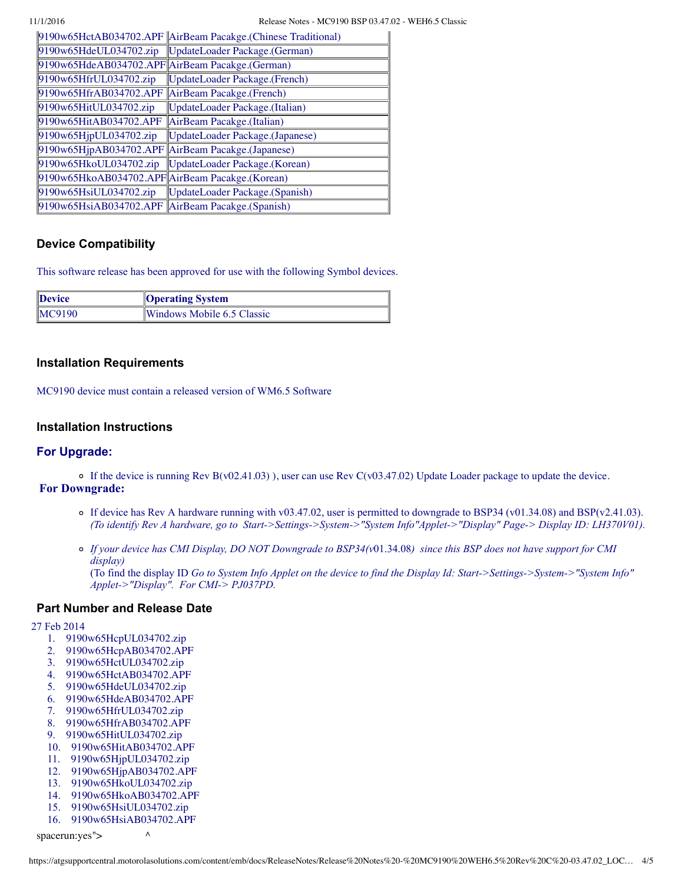|                                                   | 9190w65HctAB034702.APF AirBeam Pacakge.(Chinese Traditional) |
|---------------------------------------------------|--------------------------------------------------------------|
|                                                   | 9190w65HdeUL034702.zip   UpdateLoader Package.(German)       |
| 9190w65HdeAB034702.APF AirBeam Pacakge.(German)   |                                                              |
| 9190w65HfrUL034702.zip                            | <b>UpdateLoader Package.</b> (French)                        |
| 9190w65HfrAB034702.APF AirBeam Pacakge.(French)   |                                                              |
| 9190w65HitUL034702.zip                            | UpdateLoader Package.(Italian)                               |
| 9190w65HitAB034702.APF                            | AirBeam Pacakge.(Italian)                                    |
| 9190w65HjpUL034702zip                             | UpdateLoader Package.(Japanese)                              |
| 9190w65HjpAB034702.APF AirBeam Pacakge.(Japanese) |                                                              |
| 9190w65HkoUL034702.zip                            | UpdateLoader Package.(Korean)                                |
| 9190w65HkoAB034702.APF AirBeam Pacakge.(Korean)   |                                                              |
| 9190w65HsiUL034702.zip                            | UpdateLoader Package.(Spanish)                               |
| 9190w65HsiAB034702.APF AirBeam Pacakge.(Spanish)  |                                                              |

# <span id="page-3-0"></span>**Device Compatibility**

This software release has been approved for use with the following Symbol devices.

| Device | <b>Operating System</b>    |
|--------|----------------------------|
| MC9190 | Windows Mobile 6.5 Classic |

## <span id="page-3-1"></span>**Installation Requirements**

MC9190 device must contain a released version of WM6.5 Software

## <span id="page-3-2"></span>**Installation Instructions**

### **For Upgrade:**

 $\circ$  If the device is running Rev B(v02.41.03)), user can use Rev C(v03.47.02) Update Loader package to update the device. **For Downgrade:**

- If device has Rev A hardware running with v03.47.02, user is permitted to downgrade to BSP34 (v01.34.08) and BSP(v2.41.03). *(To identify Rev A hardware, go to Start>Settings>System>"System Info"Applet>"Display" Page> Display ID: LH370V01).*
- *If your device has CMI Display, DO NOT Downgrade to BSP34(v*01.34.08*) since this BSP does not have support for CMI display)* (To find the display ID *Go to System Info Applet on the device to find the Display Id: Start>Settings>System>"System Info" Applet>"Display". For CMI> PJ037PD.*

### <span id="page-3-3"></span>**Part Number and Release Date**

27 Feb 2014

- 1. 9190w65HcpUL034702.zip
- 2. 9190w65HcpAB034702.APF
- 3. 9190w65HctUL034702.zip
- 4. 9190w65HctAB034702.APF
- 5. 9190w65HdeUL034702.zip
- 6. 9190w65HdeAB034702.APF
- 7. 9190w65HfrUL034702.zip
- 8. 9190w65HfrAB034702.APF
- 9. 9190w65HitUL034702.zip
- 10. 9190w65HitAB034702.APF
- 11. 9190w65HjpUL034702.zip
- 12. 9190w65HjpAB034702.APF
- 13. 9190w65HkoUL034702.zip
- 14. 9190w65HkoAB034702.APF
- 15. 9190w65HsiUL034702.zip
- 16. 9190w65HsiAB034702.APF

spacerun:  $\gamma$ es" >  $\lambda$